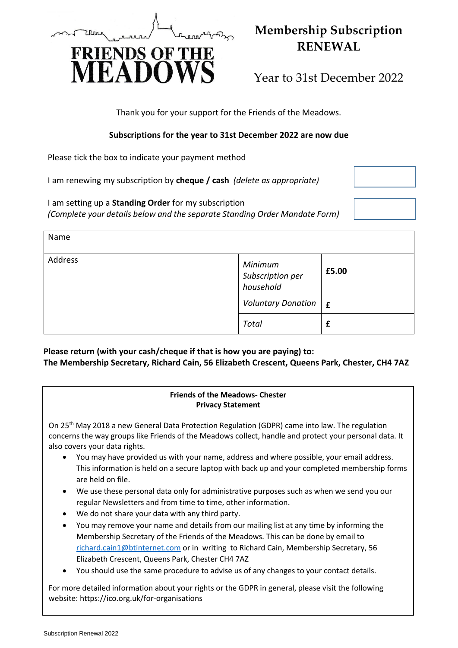

## **Membership Subscription RENEWAL**

Year to 31st December 2022

Thank you for your support for the Friends of the Meadows.

## **Subscriptions for the year to 31st December 2022 are now due**

Please tick the box to indicate your payment method

I am renewing my subscription by **cheque / cash** *(delete as appropriate)*

I am setting up a **Standing Order** for my subscription *(Complete your details below and the separate Standing Order Mandate Form)*



**Please return (with your cash/cheque if that is how you are paying) to: The Membership Secretary, Richard Cain, 56 Elizabeth Crescent, Queens Park, Chester, CH4 7AZ**

## **Friends of the Meadows- Chester Privacy Statement**

On 25<sup>th</sup> May 2018 a new General Data Protection Regulation (GDPR) came into law. The regulation concerns the way groups like Friends of the Meadows collect, handle and protect your personal data. It also covers your data rights.

- You may have provided us with your name, address and where possible, your email address. This information is held on a secure laptop with back up and your completed membership forms are held on file.
- We use these personal data only for administrative purposes such as when we send you our regular Newsletters and from time to time, other information.
- We do not share your data with any third party.
- You may remove your name and details from our mailing list at any time by informing the Membership Secretary of the Friends of the Meadows. This can be done by email to [richard.cain1@btinternet.com](mailto:richard.cain1@btinternet.com) or in writing to Richard Cain, Membership Secretary, 56 Elizabeth Crescent, Queens Park, Chester CH4 7AZ
- You should use the same procedure to advise us of any changes to your contact details.

For more detailed information about your rights or the GDPR in general, please visit the following website: https://ico.org.uk/for-organisations